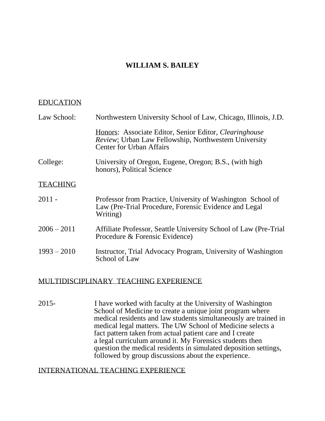# **WILLIAM S. BAILEY**

#### EDUCATION

| Law School:     | Northwestern University School of Law, Chicago, Illinois, J.D.                                                                                     |
|-----------------|----------------------------------------------------------------------------------------------------------------------------------------------------|
|                 | Honors: Associate Editor, Senior Editor, Clearinghouse<br>Review; Urban Law Fellowship, Northwestern University<br><b>Center for Urban Affairs</b> |
| College:        | University of Oregon, Eugene, Oregon; B.S., (with high<br>honors), Political Science                                                               |
| <b>TEACHING</b> |                                                                                                                                                    |
| $2011 -$        | Professor from Practice, University of Washington School of<br>Law (Pre-Trial Procedure, Forensic Evidence and Legal<br>Writing)                   |
| $2006 - 2011$   | Affiliate Professor, Seattle University School of Law (Pre-Trial)<br>Procedure & Forensic Evidence)                                                |
| $1993 - 2010$   | Instructor, Trial Advocacy Program, University of Washington<br>School of Law                                                                      |

### MULTIDISCIPLINARY TEACHING EXPERIENCE

2015- I have worked with faculty at the University of Washington School of Medicine to create a unique joint program where medical residents and law students simultaneously are trained in medical legal matters. The UW School of Medicine selects a fact pattern taken from actual patient care and I create a legal curriculum around it. My Forensics students then question the medical residents in simulated deposition settings, followed by group discussions about the experience.

#### INTERNATIONAL TEACHING EXPERIENCE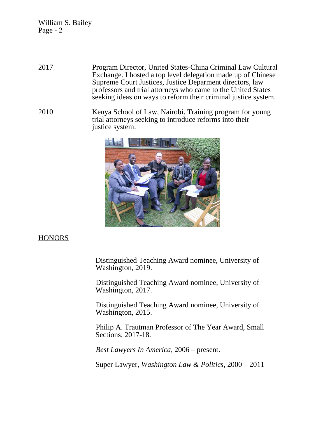- 2017 Program Director, United States-China Criminal Law Cultural Exchange. I hosted a top level delegation made up of Chinese Supreme Court Justices, Justice Deparment directors, law professors and trial attorneys who came to the United States seeking ideas on ways to reform their criminal justice system.
- 2010 Kenya School of Law, Nairobi. Training program for young trial attorneys seeking to introduce reforms into their justice system.



#### **HONORS**

Distinguished Teaching Award nominee, University of Washington, 2019.

 Distinguished Teaching Award nominee, University of Washington, 2017.

 Distinguished Teaching Award nominee, University of Washington, 2015.

 Philip A. Trautman Professor of The Year Award, Small Sections, 2017-18.

*Best Lawyers In America*, 2006 – present.

Super Lawyer, *Washington Law & Politics*, 2000 – 2011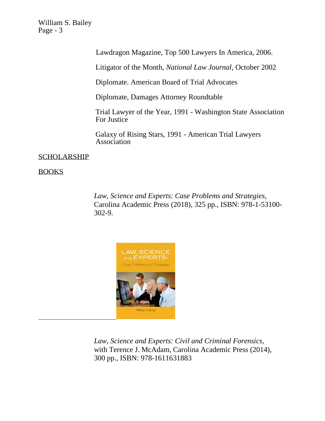Lawdragon Magazine, Top 500 Lawyers In America, 2006.

Litigator of the Month, *National Law Journal*, October 2002

Diplomate. American Board of Trial Advocates

Diplomate, Damages Attorney Roundtable

Trial Lawyer of the Year, 1991 - Washington State Association For Justice

Galaxy of Rising Stars, 1991 - American Trial Lawyers Association

SCHOLARSHIP

BOOKS

 *Law, Science and Experts: Case Problems and Strategies,* Carolina Academic Press (2018), 325 pp., ISBN: 978-1-53100- 302-9.



 *Law, Science and Experts: Civil and Criminal Forensics,* with Terence J. McAdam, Carolina Academic Press (2014), 300 pp., ISBN: 978-1611631883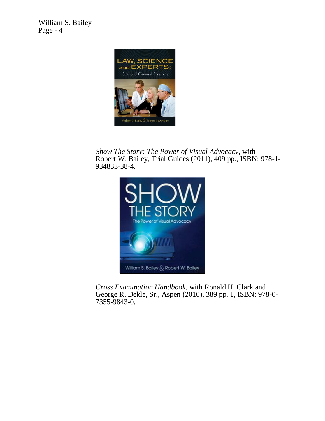

 *Show The Story: The Power of Visual Advocacy*, with Robert W. Bailey, Trial Guides (2011), 409 pp., ISBN: 978-1- 934833-38-4.



*Cross Examination Handbook*, with Ronald H. Clark and George R. Dekle, Sr., Aspen (2010), 389 pp. 1, ISBN: 978-0- 7355-9843-0.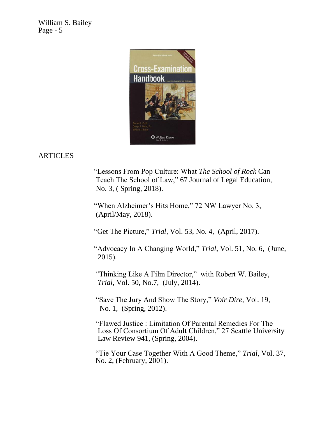

# ARTICLES

 "Lessons From Pop Culture: What *The School of Rock* Can Teach The School of Law," 67 Journal of Legal Education, No. 3, ( Spring, 2018).

"When Alzheimer's Hits Home," 72 NW Lawyer No. 3, (April/May, 2018).

"Get The Picture," *Trial*, Vol. 53, No. 4, (April, 2017).

 "Advocacy In A Changing World," *Trial*, Vol. 51, No. 6, (June, 2015).

 "Thinking Like A Film Director," with Robert W. Bailey, *Trial*, Vol. 50, No.7, (July, 2014).

 "Save The Jury And Show The Story," *Voir Dire,* Vol. 19, No. 1, (Spring, 2012).

 "Flawed Justice : Limitation Of Parental Remedies For The Loss Of Consortium Of Adult Children," 27 Seattle University Law Review 941, (Spring, 2004).

"Tie Your Case Together With A Good Theme," *Trial*, Vol. 37, No. 2, (February, 2001).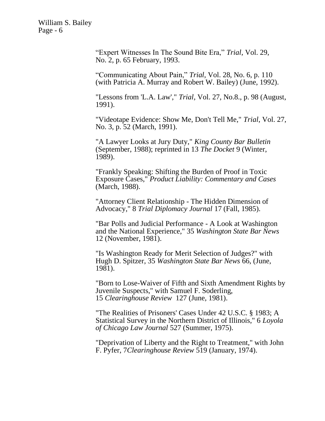> "Expert Witnesses In The Sound Bite Era," *Trial*, Vol. 29, No. 2, p. 65 February, 1993.

"Communicating About Pain," *Trial*, Vol. 28, No. 6, p. 110 (with Patricia A. Murray and Robert W. Bailey) (June, 1992).

"Lessons from 'L.A. Law'," *Trial*, Vol. 27, No.8., p. 98 (August, 1991).

"Videotape Evidence: Show Me, Don't Tell Me," *Trial*, Vol. 27, No. 3, p. 52 (March, 1991).

"A Lawyer Looks at Jury Duty," *King County Bar Bulletin* (September, 1988); reprinted in 13 *The Docket* 9 (Winter, 1989).

"Frankly Speaking: Shifting the Burden of Proof in Toxic Exposure Cases," *Product Liability: Commentary and Cases* (March, 1988).

"Attorney Client Relationship - The Hidden Dimension of Advocacy," 8 *Trial Diplomacy Journal* 17 (Fall, 1985).

"Bar Polls and Judicial Performance - A Look at Washington and the National Experience," 35 *Washington State Bar News* 12 (November, 1981).

"Is Washington Ready for Merit Selection of Judges?" with Hugh D. Spitzer, 35 *Washington State Bar News* 66, (June, 1981).

"Born to Lose-Waiver of Fifth and Sixth Amendment Rights by Juvenile Suspects," with Samuel F. Soderling, 15 *Clearinghouse Review* 127 (June, 1981).

"The Realities of Prisoners' Cases Under 42 U.S.C. § 1983; A Statistical Survey in the Northern District of Illinois," 6 *Loyola of Chicago Law Journal* 527 (Summer, 1975).

"Deprivation of Liberty and the Right to Treatment," with John F. Pyfer, 7*Clearinghouse Review* 519 (January, 1974).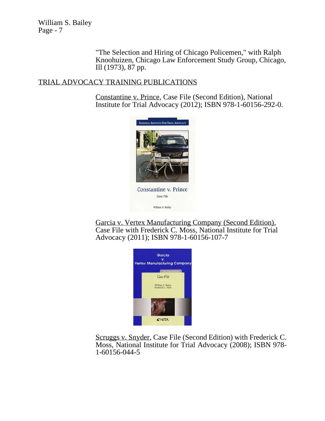> "The Selection and Hiring of Chicago Policemen," with Ralph Knoohuizen, Chicago Law Enforcement Study Group, Chicago, Ill (1973), 87 pp.

### TRIAL ADVOCACY TRAINING PUBLICATIONS

Constantine v. Prince, Case File (Second Edition), National Institute for Trial Advocacy (2012); ISBN 978-1-60156-292-0.



Garcia v. Vertex Manufacturing Company (Second Edition), Case File with Frederick C. Moss, National Institute for Trial Advocacy (2011); ISBN 978-1-60156-107-7



Scruggs v. Snyder, Case File (Second Edition) with Frederick C. Moss, National Institute for Trial Advocacy (2008); ISBN 978- 1-60156-044-5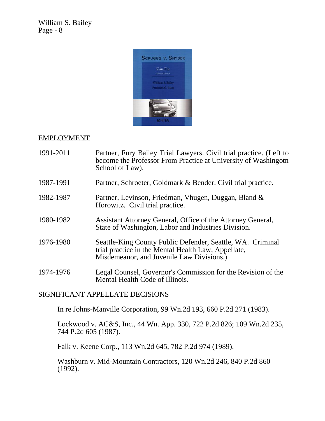

# EMPLOYMENT

- 1991-2011 Partner, Fury Bailey Trial Lawyers. Civil trial practice. (Left to become the Professor From Practice at University of Washingotn School of Law).
- 1987-1991 Partner, Schroeter, Goldmark & Bender. Civil trial practice.
- 1982-1987 Partner, Levinson, Friedman, Vhugen, Duggan, Bland & Horowitz. Civil trial practice.
- 1980-1982 Assistant Attorney General, Office of the Attorney General, State of Washington, Labor and Industries Division.
- 1976-1980 Seattle-King County Public Defender, Seattle, WA. Criminal trial practice in the Mental Health Law, Appellate, Misdemeanor, and Juvenile Law Divisions.)
- 1974-1976 Legal Counsel, Governor's Commission for the Revision of the Mental Health Code of Illinois.

# SIGNIFICANT APPELLATE DECISIONS

In re Johns-Manville Corporation, 99 Wn.2d 193, 660 P.2d 271 (1983).

Lockwood v. AC&S, Inc., 44 Wn. App. 330, 722 P.2d 826; 109 Wn.2d 235, 744 P.2d 605 (1987).

Falk v. Keene Corp., 113 Wn.2d 645, 782 P.2d 974 (1989).

Washburn v. Mid-Mountain Contractors, 120 Wn.2d 246, 840 P.2d 860 (1992).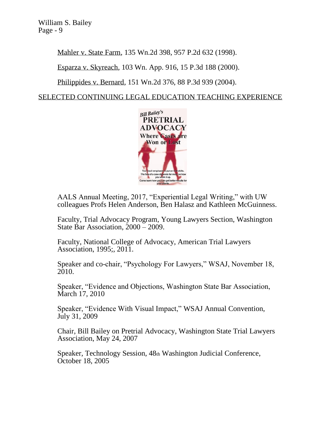Mahler v. State Farm, 135 Wn.2d 398, 957 P.2d 632 (1998).

Esparza v. Skyreach, 103 Wn. App. 916, 15 P.3d 188 (2000).

Philippides v. Bernard, 151 Wn.2d 376, 88 P.3d 939 (2004).

SELECTED CONTINUING LEGAL EDUCATION TEACHING EXPERIENCE



AALS Annual Meeting, 2017, "Experiential Legal Writing," with UW colleagues Profs Helen Anderson, Ben Halasz and Kathleen McGuinness.

Faculty, Trial Advocacy Program, Young Lawyers Section, Washington State Bar Association, 2000 – 2009.

Faculty, National College of Advocacy, American Trial Lawyers Association, 1995;, 2011.

Speaker and co-chair, "Psychology For Lawyers," WSAJ, November 18, 2010.

Speaker, "Evidence and Objections, Washington State Bar Association, March 17, 2010

Speaker, "Evidence With Visual Impact," WSAJ Annual Convention, July 31, 2009

Chair, Bill Bailey on Pretrial Advocacy, Washington State Trial Lawyers Association, May 24, 2007

Speaker, Technology Session, 48th Washington Judicial Conference, October 18, 2005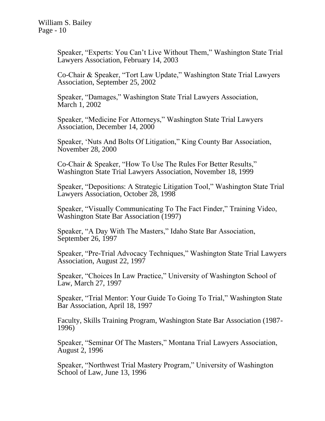Speaker, "Experts: You Can't Live Without Them," Washington State Trial Lawyers Association, February 14, 2003

Co-Chair & Speaker, "Tort Law Update," Washington State Trial Lawyers Association, September 25, 2002

Speaker, "Damages," Washington State Trial Lawyers Association, March 1, 2002

Speaker, "Medicine For Attorneys," Washington State Trial Lawyers Association, December 14, 2000

Speaker, 'Nuts And Bolts Of Litigation," King County Bar Association, November 28, 2000

Co-Chair & Speaker, "How To Use The Rules For Better Results," Washington State Trial Lawyers Association, November 18, 1999

Speaker, "Depositions: A Strategic Litigation Tool," Washington State Trial Lawyers Association, October 28, 1998

Speaker, "Visually Communicating To The Fact Finder," Training Video, Washington State Bar Association (1997)

Speaker, "A Day With The Masters," Idaho State Bar Association, September 26, 1997

Speaker, "Pre-Trial Advocacy Techniques," Washington State Trial Lawyers Association, August 22, 1997

Speaker, "Choices In Law Practice," University of Washington School of Law, March 27, 1997

Speaker, "Trial Mentor: Your Guide To Going To Trial," Washington State Bar Association, April 18, 1997

Faculty, Skills Training Program, Washington State Bar Association (1987- 1996)

Speaker, "Seminar Of The Masters," Montana Trial Lawyers Association, August 2, 1996

Speaker, "Northwest Trial Mastery Program," University of Washington School of Law, June 13, 1996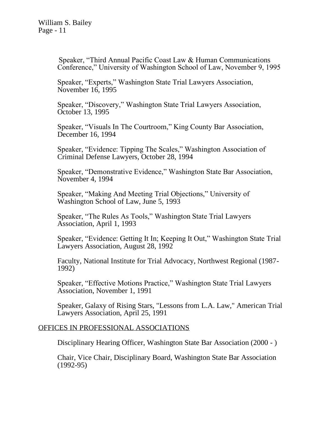Speaker, "Third Annual Pacific Coast Law & Human Communications Conference," University of Washington School of Law, November 9, 1995

Speaker, "Experts," Washington State Trial Lawyers Association, November 16, 1995

Speaker, "Discovery," Washington State Trial Lawyers Association, October 13, 1995

Speaker, "Visuals In The Courtroom," King County Bar Association, December 16, 1994

Speaker, "Evidence: Tipping The Scales," Washington Association of Criminal Defense Lawyers, October 28, 1994

Speaker, "Demonstrative Evidence," Washington State Bar Association, November 4, 1994

Speaker, "Making And Meeting Trial Objections," University of Washington School of Law, June 5, 1993

Speaker, "The Rules As Tools," Washington State Trial Lawyers Association, April 1, 1993

Speaker, "Evidence: Getting It In; Keeping It Out," Washington State Trial Lawyers Association, August 28, 1992

Faculty, National Institute for Trial Advocacy, Northwest Regional (1987- 1992)

Speaker, "Effective Motions Practice," Washington State Trial Lawyers Association, November 1, 1991

Speaker, Galaxy of Rising Stars, "Lessons from L.A. Law," American Trial Lawyers Association, April 25, 1991

### OFFICES IN PROFESSIONAL ASSOCIATIONS

Disciplinary Hearing Officer, Washington State Bar Association (2000 - )

Chair, Vice Chair, Disciplinary Board, Washington State Bar Association (1992-95)